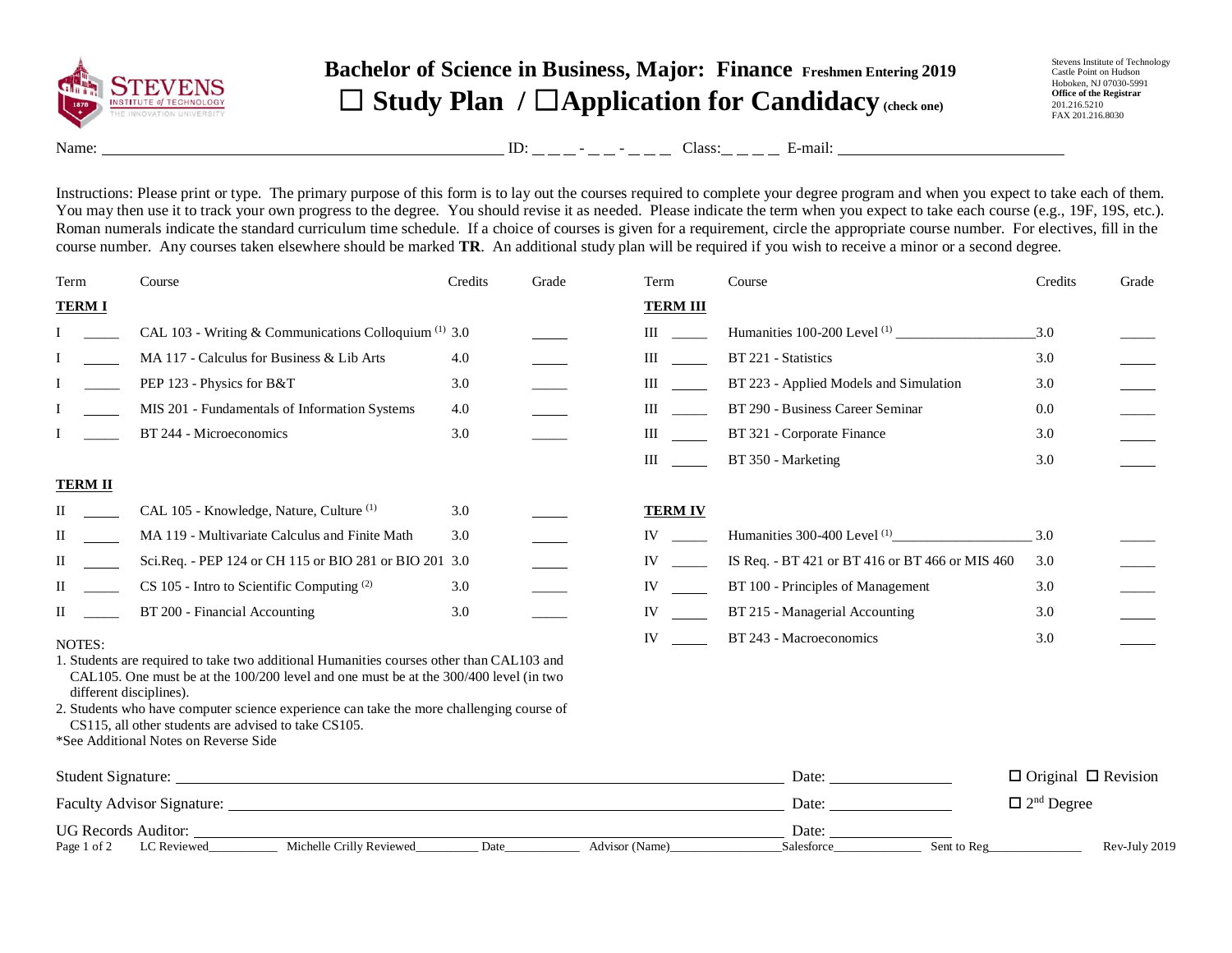

## **Bachelor of Science in Business, Major: Finance Freshmen Entering 2019** ☐ **Study Plan /** ☐**Application for Candidacy (check one)**

Stevens Institute of Technology Castle Point on Hudson Hoboken, NJ 07030-5991 **Office of the Registrar** 201.216.5210 FAX 201.216.8030

Name: ID: - - Class: E-mail:

Instructions: Please print or type. The primary purpose of this form is to lay out the courses required to complete your degree program and when you expect to take each of them. You may then use it to track your own progress to the degree. You should revise it as needed. Please indicate the term when you expect to take each course (e.g., 19F, 19S, etc.). Roman numerals indicate the standard curriculum time schedule. If a choice of courses is given for a requirement, circle the appropriate course number. For electives, fill in the course number. Any courses taken elsewhere should be marked **TR**. An additional study plan will be required if you wish to receive a minor or a second degree.

| Term           | Course                                                                                                                                                                                                       | Credits | Grade | Term                                                                                                                                                                                                                                | Course                                                                                                                                                                                                                         | Credits                         | Grade         |
|----------------|--------------------------------------------------------------------------------------------------------------------------------------------------------------------------------------------------------------|---------|-------|-------------------------------------------------------------------------------------------------------------------------------------------------------------------------------------------------------------------------------------|--------------------------------------------------------------------------------------------------------------------------------------------------------------------------------------------------------------------------------|---------------------------------|---------------|
| <b>TERMI</b>   |                                                                                                                                                                                                              |         |       | <b>TERM III</b>                                                                                                                                                                                                                     |                                                                                                                                                                                                                                |                                 |               |
|                | CAL 103 - Writing & Communications Colloquium <sup>(1)</sup> 3.0                                                                                                                                             |         |       | $\mathbf{III}$                                                                                                                                                                                                                      |                                                                                                                                                                                                                                | 3.0                             |               |
|                | MA 117 - Calculus for Business & Lib Arts                                                                                                                                                                    | 4.0     |       | <b>III</b> and the same of the same of the same of the same of the same of the same of the same of the same of the same of the same of the same of the same of the same of the same of the same of the same of the same of the same | BT 221 - Statistics                                                                                                                                                                                                            | 3.0                             |               |
|                | PEP 123 - Physics for B&T                                                                                                                                                                                    | 3.0     |       | III                                                                                                                                                                                                                                 | BT 223 - Applied Models and Simulation                                                                                                                                                                                         | 3.0                             |               |
|                | MIS 201 - Fundamentals of Information Systems                                                                                                                                                                | 4.0     |       | $\mathbf{III}$ and $\mathbf{III}$                                                                                                                                                                                                   | BT 290 - Business Career Seminar                                                                                                                                                                                               | 0.0                             |               |
|                | BT 244 - Microeconomics                                                                                                                                                                                      | 3.0     |       | $\mathbf{m}$                                                                                                                                                                                                                        | BT 321 - Corporate Finance                                                                                                                                                                                                     | 3.0                             |               |
|                |                                                                                                                                                                                                              |         |       | $\mathbf{III}$ and $\mathbf{III}$                                                                                                                                                                                                   | BT 350 - Marketing                                                                                                                                                                                                             | 3.0                             |               |
| <b>TERM II</b> |                                                                                                                                                                                                              |         |       |                                                                                                                                                                                                                                     |                                                                                                                                                                                                                                |                                 |               |
| П              | CAL 105 - Knowledge, Nature, Culture <sup>(1)</sup>                                                                                                                                                          | 3.0     |       | <b>TERM IV</b>                                                                                                                                                                                                                      |                                                                                                                                                                                                                                |                                 |               |
| $\mathbf{I}$   | MA 119 - Multivariate Calculus and Finite Math                                                                                                                                                               | 3.0     |       | IV and the set of the set of the set of the set of the set of the set of the set of the set of the set of the set of the set of the set of the set of the set of the set of the set of the set of the set of the set of the se      | Humanities 300-400 Level $(1)$                                                                                                                                                                                                 | 3.0                             |               |
| П              | Sci.Req. - PEP 124 or CH 115 or BIO 281 or BIO 201 3.0                                                                                                                                                       |         |       | $IV \t —$                                                                                                                                                                                                                           | IS Req. - BT 421 or BT 416 or BT 466 or MIS 460                                                                                                                                                                                | 3.0                             |               |
| $\mathbf{I}$   | CS 105 - Intro to Scientific Computing (2)                                                                                                                                                                   | 3.0     |       | IV and the set of the set of the set of the set of the set of the set of the set of the set of the set of the set of the set of the set of the set of the set of the set of the set of the set of the set of the set of the se      | BT 100 - Principles of Management                                                                                                                                                                                              | 3.0                             |               |
| $\Pi$          | BT 200 - Financial Accounting                                                                                                                                                                                | 3.0     |       | IV                                                                                                                                                                                                                                  | BT 215 - Managerial Accounting                                                                                                                                                                                                 | 3.0                             |               |
| NOTES:         |                                                                                                                                                                                                              |         |       | IV and the set of the set of the set of the set of the set of the set of the set of the set of the set of the set of the set of the set of the set of the set of the set of the set of the set of the set of the set of the se      | BT 243 - Macroeconomics                                                                                                                                                                                                        | 3.0                             |               |
|                | 1. Students are required to take two additional Humanities courses other than CAL103 and<br>CAL105. One must be at the 100/200 level and one must be at the 300/400 level (in two<br>different disciplines). |         |       |                                                                                                                                                                                                                                     |                                                                                                                                                                                                                                |                                 |               |
|                | 2. Students who have computer science experience can take the more challenging course of<br>CS115, all other students are advised to take CS105.                                                             |         |       |                                                                                                                                                                                                                                     |                                                                                                                                                                                                                                |                                 |               |
|                | *See Additional Notes on Reverse Side                                                                                                                                                                        |         |       |                                                                                                                                                                                                                                     |                                                                                                                                                                                                                                |                                 |               |
|                |                                                                                                                                                                                                              |         |       |                                                                                                                                                                                                                                     | Date:                                                                                                                                                                                                                          | $\Box$ Original $\Box$ Revision |               |
|                |                                                                                                                                                                                                              |         |       |                                                                                                                                                                                                                                     | Date: the contract of the contract of the contract of the contract of the contract of the contract of the contract of the contract of the contract of the contract of the contract of the contract of the contract of the cont | $\Box$ $2^{\rm nd}$ Degree      |               |
|                | UG Records Auditor:<br>Michelle Crilly Reviewed                                                                                                                                                              |         |       |                                                                                                                                                                                                                                     | Date:<br>Sent to Reg                                                                                                                                                                                                           |                                 |               |
| Page 1 of 2    | LC Reviewed                                                                                                                                                                                                  | Date    |       | Advisor (Name)                                                                                                                                                                                                                      | Salesforce                                                                                                                                                                                                                     |                                 | Rev-July 2019 |